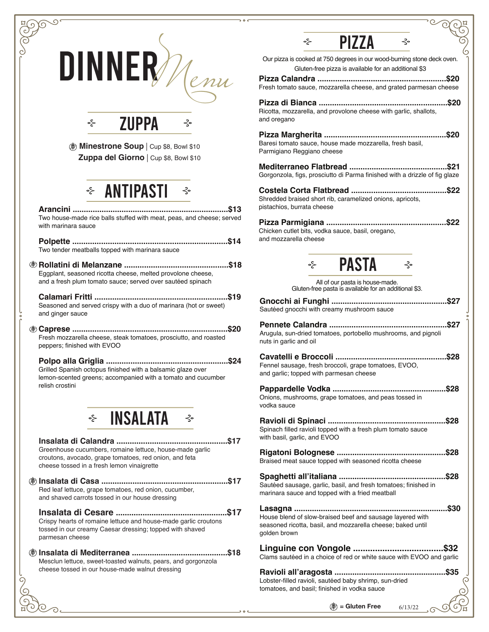